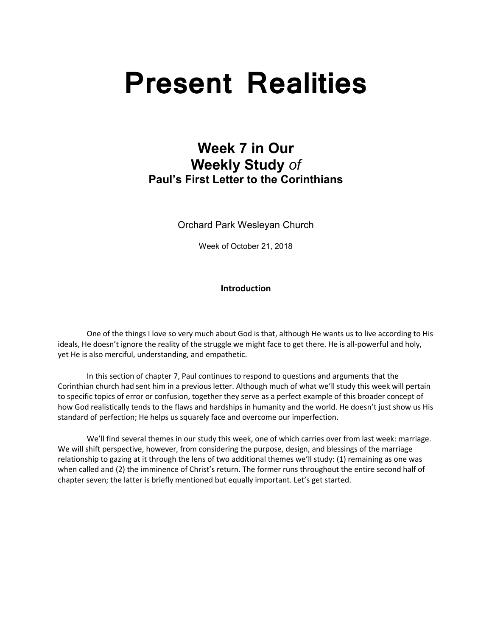# **Present Realities**

# **Week 7 in Our Weekly Study** *of* **Paul's First Letter to the Corinthians**

Orchard Park Wesleyan Church

Week of October 21, 2018

# **Introduction**

 One of the things I love so very much about God is that, although He wants us to live according to His ideals, He doesn't ignore the reality of the struggle we might face to get there. He is all-powerful and holy, yet He is also merciful, understanding, and empathetic.

In this section of chapter 7, Paul continues to respond to questions and arguments that the Corinthian church had sent him in a previous letter. Although much of what we'll study this week will pertain to specific topics of error or confusion, together they serve as a perfect example of this broader concept of how God realistically tends to the flaws and hardships in humanity and the world. He doesn't just show us His standard of perfection; He helps us squarely face and overcome our imperfection.

We'll find several themes in our study this week, one of which carries over from last week: marriage. We will shift perspective, however, from considering the purpose, design, and blessings of the marriage relationship to gazing at it through the lens of two additional themes we'll study: (1) remaining as one was when called and (2) the imminence of Christ's return. The former runs throughout the entire second half of chapter seven; the latter is briefly mentioned but equally important. Let's get started.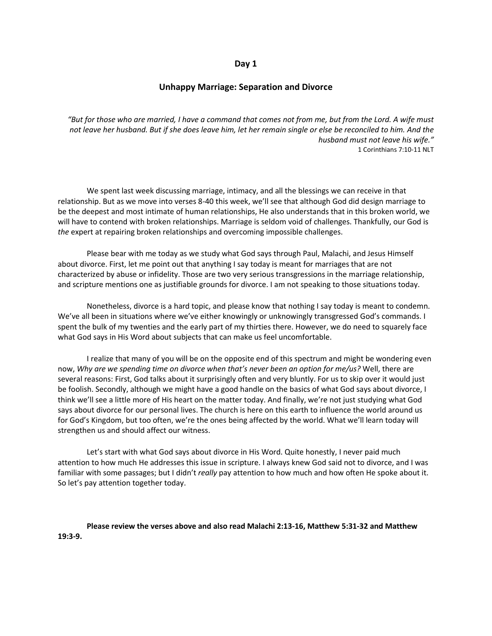#### **Day 1**

## **Unhappy Marriage: Separation and Divorce**

*"But for those who are married, I have a command that comes not from me, but from the Lord. A wife must not leave her husband. But if she does leave him, let her remain single or else be reconciled to him. And the husband must not leave his wife."* 1 Corinthians 7:10-11 NLT

 We spent last week discussing marriage, intimacy, and all the blessings we can receive in that relationship. But as we move into verses 8-40 this week, we'll see that although God did design marriage to be the deepest and most intimate of human relationships, He also understands that in this broken world, we will have to contend with broken relationships. Marriage is seldom void of challenges. Thankfully, our God is *the* expert at repairing broken relationships and overcoming impossible challenges.

Please bear with me today as we study what God says through Paul, Malachi, and Jesus Himself about divorce. First, let me point out that anything I say today is meant for marriages that are not characterized by abuse or infidelity. Those are two very serious transgressions in the marriage relationship, and scripture mentions one as justifiable grounds for divorce. I am not speaking to those situations today.

Nonetheless, divorce is a hard topic, and please know that nothing I say today is meant to condemn. We've all been in situations where we've either knowingly or unknowingly transgressed God's commands. I spent the bulk of my twenties and the early part of my thirties there. However, we do need to squarely face what God says in His Word about subjects that can make us feel uncomfortable.

I realize that many of you will be on the opposite end of this spectrum and might be wondering even now, *Why are we spending time on divorce when that's never been an option for me/us?* Well, there are several reasons: First, God talks about it surprisingly often and very bluntly. For us to skip over it would just be foolish. Secondly, although we might have a good handle on the basics of what God says about divorce, I think we'll see a little more of His heart on the matter today. And finally, we're not just studying what God says about divorce for our personal lives. The church is here on this earth to influence the world around us for God's Kingdom, but too often, we're the ones being affected by the world. What we'll learn today will strengthen us and should affect our witness.

Let's start with what God says about divorce in His Word. Quite honestly, I never paid much attention to how much He addresses this issue in scripture. I always knew God said not to divorce, and I was familiar with some passages; but I didn't *really* pay attention to how much and how often He spoke about it. So let's pay attention together today.

#### **Please review the verses above and also read Malachi 2:13-16, Matthew 5:31-32 and Matthew 19:3-9.**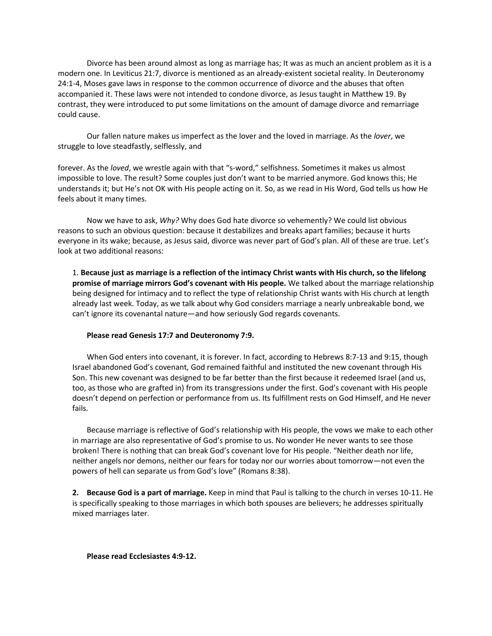Divorce has been around almost as long as marriage has; It was as much an ancient problem as it is a modern one. In Leviticus 21:7, divorce is mentioned as an already-existent societal reality. In Deuteronomy 24:1-4, Moses gave laws in response to the common occurrence of divorce and the abuses that often accompanied it. These laws were not intended to condone divorce, as Jesus taught in Matthew 19. By contrast, they were introduced to put some limitations on the amount of damage divorce and remarriage could cause.

Our fallen nature makes us imperfect as the lover and the loved in marriage. As the *lover*, we struggle to love steadfastly, selflessly, and

forever. As the *loved*, we wrestle again with that "s-word," selfishness. Sometimes it makes us almost impossible to love. The result? Some couples just don't want to be married anymore. God knows this; He understands it; but He's not OK with His people acting on it. So, as we read in His Word, God tells us how He feels about it many times.

 Now we have to ask, *Why?* Why does God hate divorce so vehemently? We could list obvious reasons to such an obvious question: because it destabilizes and breaks apart families; because it hurts everyone in its wake; because, as Jesus said, divorce was never part of God's plan. All of these are true. Let's look at two additional reasons:

1. **Because just as marriage is a reflection of the intimacy Christ wants with His church, so the lifelong promise of marriage mirrors God's covenant with His people.** We talked about the marriage relationship being designed for intimacy and to reflect the type of relationship Christ wants with His church at length already last week. Today, as we talk about why God considers marriage a nearly unbreakable bond, we can't ignore its covenantal nature—and how seriously God regards covenants.

#### **Please read Genesis 17:7 and Deuteronomy 7:9.**

When God enters into covenant, it is forever. In fact, according to Hebrews 8:7-13 and 9:15, though Israel abandoned God's covenant, God remained faithful and instituted the new covenant through His Son. This new covenant was designed to be far better than the first because it redeemed Israel (and us, too, as those who are grafted in) from its transgressions under the first. God's covenant with His people doesn't depend on perfection or performance from us. Its fulfillment rests on God Himself, and He never fails.

Because marriage is reflective of God's relationship with His people, the vows we make to each other in marriage are also representative of God's promise to us. No wonder He never wants to see those broken! There is nothing that can break God's covenant love for His people. "Neither death nor life, neither angels nor demons, neither our fears for today nor our worries about tomorrow—not even the powers of hell can separate us from God's love" (Romans 8:38).

**2. Because God is a part of marriage.** Keep in mind that Paul is talking to the church in verses 10-11. He is specifically speaking to those marriages in which both spouses are believers; he addresses spiritually mixed marriages later.

**Please read Ecclesiastes 4:9-12.**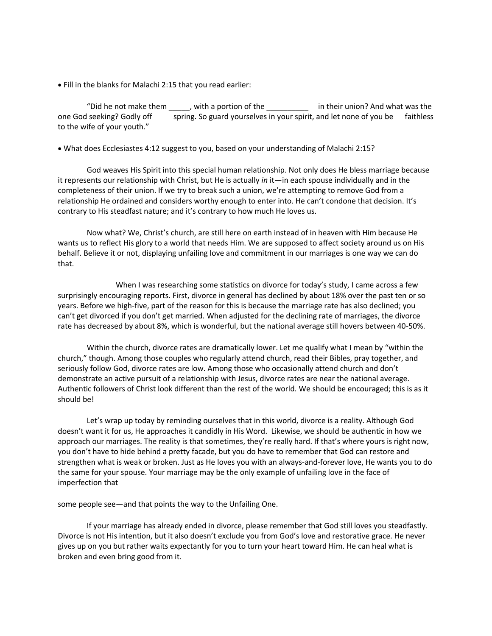• Fill in the blanks for Malachi 2:15 that you read earlier:

"Did he not make them \_\_\_\_\_, with a portion of the \_\_\_\_\_\_\_\_\_\_\_\_ in their union? And what was the one God seeking? Godly off spring. So guard yourselves in your spirit, and let none of you be faithless to the wife of your youth."

• What does Ecclesiastes 4:12 suggest to you, based on your understanding of Malachi 2:15?

God weaves His Spirit into this special human relationship. Not only does He bless marriage because it represents our relationship with Christ, but He is actually *in* it—in each spouse individually and in the completeness of their union. If we try to break such a union, we're attempting to remove God from a relationship He ordained and considers worthy enough to enter into. He can't condone that decision. It's contrary to His steadfast nature; and it's contrary to how much He loves us.

 Now what? We, Christ's church, are still here on earth instead of in heaven with Him because He wants us to reflect His glory to a world that needs Him. We are supposed to affect society around us on His behalf. Believe it or not, displaying unfailing love and commitment in our marriages is one way we can do that.

When I was researching some statistics on divorce for today's study, I came across a few surprisingly encouraging reports. First, divorce in general has declined by about 18% over the past ten or so years. Before we high-five, part of the reason for this is because the marriage rate has also declined; you can't get divorced if you don't get married. When adjusted for the declining rate of marriages, the divorce rate has decreased by about 8%, which is wonderful, but the national average still hovers between 40-50%.

Within the church, divorce rates are dramatically lower. Let me qualify what I mean by "within the church," though. Among those couples who regularly attend church, read their Bibles, pray together, and seriously follow God, divorce rates are low. Among those who occasionally attend church and don't demonstrate an active pursuit of a relationship with Jesus, divorce rates are near the national average. Authentic followers of Christ look different than the rest of the world. We should be encouraged; this is as it should be!

Let's wrap up today by reminding ourselves that in this world, divorce is a reality. Although God doesn't want it for us, He approaches it candidly in His Word. Likewise, we should be authentic in how we approach our marriages. The reality is that sometimes, they're really hard. If that's where yours is right now, you don't have to hide behind a pretty facade, but you do have to remember that God can restore and strengthen what is weak or broken. Just as He loves you with an always-and-forever love, He wants you to do the same for your spouse. Your marriage may be the only example of unfailing love in the face of imperfection that

some people see—and that points the way to the Unfailing One.

If your marriage has already ended in divorce, please remember that God still loves you steadfastly. Divorce is not His intention, but it also doesn't exclude you from God's love and restorative grace. He never gives up on you but rather waits expectantly for you to turn your heart toward Him. He can heal what is broken and even bring good from it.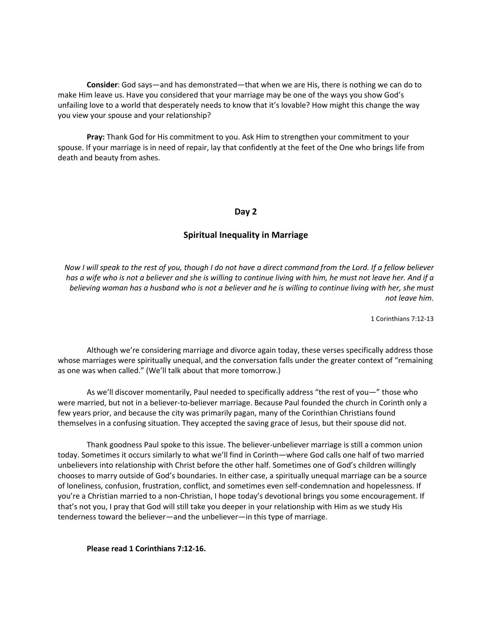**Consider**: God says—and has demonstrated—that when we are His, there is nothing we can do to make Him leave us. Have you considered that your marriage may be one of the ways you show God's unfailing love to a world that desperately needs to know that it's lovable? How might this change the way you view your spouse and your relationship?

**Pray:** Thank God for His commitment to you. Ask Him to strengthen your commitment to your spouse. If your marriage is in need of repair, lay that confidently at the feet of the One who brings life from death and beauty from ashes.

## **Day 2**

# **Spiritual Inequality in Marriage**

*Now I will speak to the rest of you, though I do not have a direct command from the Lord. If a fellow believer has a wife who is not a believer and she is willing to continue living with him, he must not leave her. And if a believing woman has a husband who is not a believer and he is willing to continue living with her, she must not leave him.*

1 Corinthians 7:12-13

 Although we're considering marriage and divorce again today, these verses specifically address those whose marriages were spiritually unequal, and the conversation falls under the greater context of "remaining as one was when called." (We'll talk about that more tomorrow.)

As we'll discover momentarily, Paul needed to specifically address "the rest of you—" those who were married, but not in a believer-to-believer marriage. Because Paul founded the church in Corinth only a few years prior, and because the city was primarily pagan, many of the Corinthian Christians found themselves in a confusing situation. They accepted the saving grace of Jesus, but their spouse did not.

Thank goodness Paul spoke to this issue. The believer-unbeliever marriage is still a common union today. Sometimes it occurs similarly to what we'll find in Corinth—where God calls one half of two married unbelievers into relationship with Christ before the other half. Sometimes one of God's children willingly chooses to marry outside of God's boundaries. In either case, a spiritually unequal marriage can be a source of loneliness, confusion, frustration, conflict, and sometimes even self-condemnation and hopelessness. If you're a Christian married to a non-Christian, I hope today's devotional brings you some encouragement. If that's not you, I pray that God will still take you deeper in your relationship with Him as we study His tenderness toward the believer—and the unbeliever—in this type of marriage.

**Please read 1 Corinthians 7:12-16.**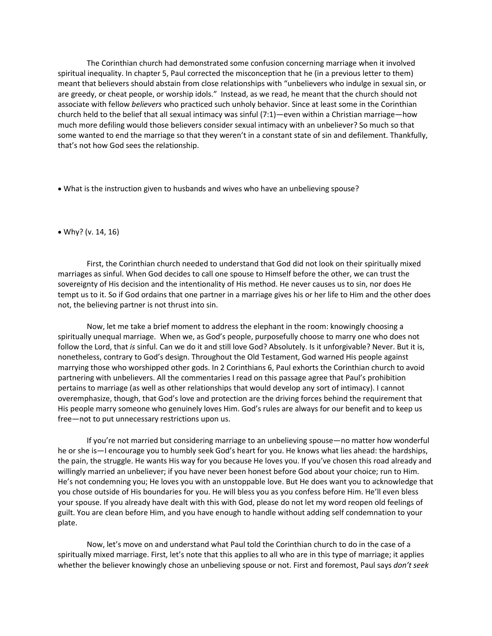The Corinthian church had demonstrated some confusion concerning marriage when it involved spiritual inequality. In chapter 5, Paul corrected the misconception that he (in a previous letter to them) meant that believers should abstain from close relationships with "unbelievers who indulge in sexual sin, or are greedy, or cheat people, or worship idols." Instead, as we read, he meant that the church should not associate with fellow *believers* who practiced such unholy behavior. Since at least some in the Corinthian church held to the belief that all sexual intimacy was sinful (7:1)—even within a Christian marriage—how much more defiling would those believers consider sexual intimacy with an unbeliever? So much so that some wanted to end the marriage so that they weren't in a constant state of sin and defilement. Thankfully, that's not how God sees the relationship.

• What is the instruction given to husbands and wives who have an unbelieving spouse?

#### • Why? (v. 14, 16)

First, the Corinthian church needed to understand that God did not look on their spiritually mixed marriages as sinful. When God decides to call one spouse to Himself before the other, we can trust the sovereignty of His decision and the intentionality of His method. He never causes us to sin, nor does He tempt us to it. So if God ordains that one partner in a marriage gives his or her life to Him and the other does not, the believing partner is not thrust into sin.

Now, let me take a brief moment to address the elephant in the room: knowingly choosing a spiritually unequal marriage. When we, as God's people, purposefully choose to marry one who does not follow the Lord, that *is* sinful. Can we do it and still love God? Absolutely. Is it unforgivable? Never. But it is, nonetheless, contrary to God's design. Throughout the Old Testament, God warned His people against marrying those who worshipped other gods. In 2 Corinthians 6, Paul exhorts the Corinthian church to avoid partnering with unbelievers. All the commentaries I read on this passage agree that Paul's prohibition pertains to marriage (as well as other relationships that would develop any sort of intimacy). I cannot overemphasize, though, that God's love and protection are the driving forces behind the requirement that His people marry someone who genuinely loves Him. God's rules are always for our benefit and to keep us free—not to put unnecessary restrictions upon us.

If you're not married but considering marriage to an unbelieving spouse—no matter how wonderful he or she is—I encourage you to humbly seek God's heart for you. He knows what lies ahead: the hardships, the pain, the struggle. He wants His way for you because He loves you. If you've chosen this road already and willingly married an unbeliever; if you have never been honest before God about your choice; run to Him. He's not condemning you; He loves you with an unstoppable love. But He does want you to acknowledge that you chose outside of His boundaries for you. He will bless you as you confess before Him. He'll even bless your spouse. If you already have dealt with this with God, please do not let my word reopen old feelings of guilt. You are clean before Him, and you have enough to handle without adding self condemnation to your plate.

Now, let's move on and understand what Paul told the Corinthian church to do in the case of a spiritually mixed marriage. First, let's note that this applies to all who are in this type of marriage; it applies whether the believer knowingly chose an unbelieving spouse or not. First and foremost, Paul says *don't seek*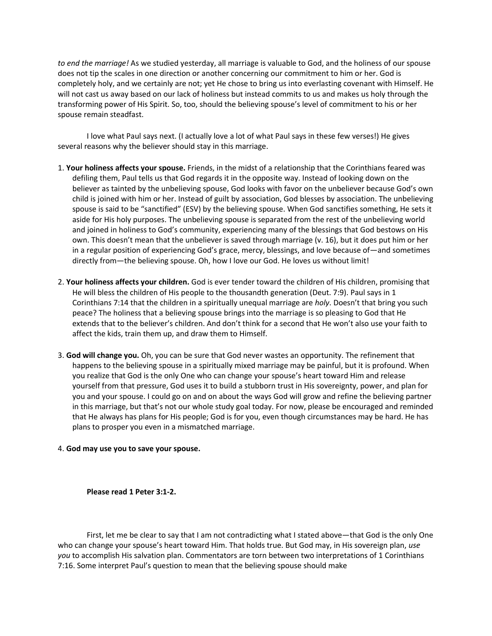*to end the marriage!* As we studied yesterday, all marriage is valuable to God, and the holiness of our spouse does not tip the scales in one direction or another concerning our commitment to him or her. God is completely holy, and we certainly are not; yet He chose to bring us into everlasting covenant with Himself. He will not cast us away based on our lack of holiness but instead commits to us and makes us holy through the transforming power of His Spirit. So, too, should the believing spouse's level of commitment to his or her spouse remain steadfast.

I love what Paul says next. (I actually love a lot of what Paul says in these few verses!) He gives several reasons why the believer should stay in this marriage.

- 1. **Your holiness affects your spouse.** Friends, in the midst of a relationship that the Corinthians feared was defiling them, Paul tells us that God regards it in the opposite way. Instead of looking down on the believer as tainted by the unbelieving spouse, God looks with favor on the unbeliever because God's own child is joined with him or her. Instead of guilt by association, God blesses by association. The unbelieving spouse is said to be "sanctified" (ESV) by the believing spouse. When God sanctifies something, He sets it aside for His holy purposes. The unbelieving spouse is separated from the rest of the unbelieving world and joined in holiness to God's community, experiencing many of the blessings that God bestows on His own. This doesn't mean that the unbeliever is saved through marriage (v. 16), but it does put him or her in a regular position of experiencing God's grace, mercy, blessings, and love because of—and sometimes directly from—the believing spouse. Oh, how I love our God. He loves us without limit!
- 2. **Your holiness affects your children.** God is ever tender toward the children of His children, promising that He will bless the children of His people to the thousandth generation (Deut. 7:9). Paul says in 1 Corinthians 7:14 that the children in a spiritually unequal marriage are *holy*. Doesn't that bring you such peace? The holiness that a believing spouse brings into the marriage is so pleasing to God that He extends that to the believer's children. And don't think for a second that He won't also use your faith to affect the kids, train them up, and draw them to Himself.
- 3. **God will change you.** Oh, you can be sure that God never wastes an opportunity. The refinement that happens to the believing spouse in a spiritually mixed marriage may be painful, but it is profound. When you realize that God is the only One who can change your spouse's heart toward Him and release yourself from that pressure, God uses it to build a stubborn trust in His sovereignty, power, and plan for you and your spouse. I could go on and on about the ways God will grow and refine the believing partner in this marriage, but that's not our whole study goal today. For now, please be encouraged and reminded that He always has plans for His people; God is for you, even though circumstances may be hard. He has plans to prosper you even in a mismatched marriage.

#### 4. **God may use you to save your spouse.**

**Please read 1 Peter 3:1-2.**

First, let me be clear to say that I am not contradicting what I stated above—that God is the only One who can change your spouse's heart toward Him. That holds true. But God may, in His sovereign plan, *use you* to accomplish His salvation plan. Commentators are torn between two interpretations of 1 Corinthians 7:16. Some interpret Paul's question to mean that the believing spouse should make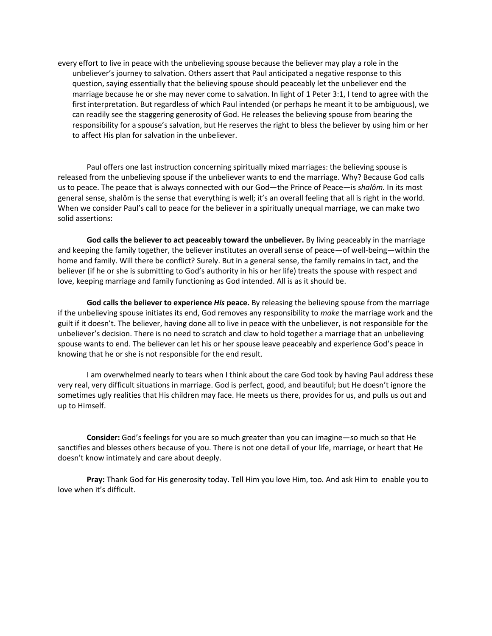every effort to live in peace with the unbelieving spouse because the believer may play a role in the unbeliever's journey to salvation. Others assert that Paul anticipated a negative response to this question, saying essentially that the believing spouse should peaceably let the unbeliever end the marriage because he or she may never come to salvation. In light of 1 Peter 3:1, I tend to agree with the first interpretation. But regardless of which Paul intended (or perhaps he meant it to be ambiguous), we can readily see the staggering generosity of God. He releases the believing spouse from bearing the responsibility for a spouse's salvation, but He reserves the right to bless the believer by using him or her to affect His plan for salvation in the unbeliever.

Paul offers one last instruction concerning spiritually mixed marriages: the believing spouse is released from the unbelieving spouse if the unbeliever wants to end the marriage. Why? Because God calls us to peace. The peace that is always connected with our God—the Prince of Peace—is *shalôm.* In its most general sense, shalôm is the sense that everything is well; it's an overall feeling that all is right in the world. When we consider Paul's call to peace for the believer in a spiritually unequal marriage, we can make two solid assertions:

**God calls the believer to act peaceably toward the unbeliever.** By living peaceably in the marriage and keeping the family together, the believer institutes an overall sense of peace—of well-being—within the home and family. Will there be conflict? Surely. But in a general sense, the family remains in tact, and the believer (if he or she is submitting to God's authority in his or her life) treats the spouse with respect and love, keeping marriage and family functioning as God intended. All is as it should be.

**God calls the believer to experience** *His* **peace.** By releasing the believing spouse from the marriage if the unbelieving spouse initiates its end, God removes any responsibility to *make* the marriage work and the guilt if it doesn't. The believer, having done all to live in peace with the unbeliever, is not responsible for the unbeliever's decision. There is no need to scratch and claw to hold together a marriage that an unbelieving spouse wants to end. The believer can let his or her spouse leave peaceably and experience God's peace in knowing that he or she is not responsible for the end result.

I am overwhelmed nearly to tears when I think about the care God took by having Paul address these very real, very difficult situations in marriage. God is perfect, good, and beautiful; but He doesn't ignore the sometimes ugly realities that His children may face. He meets us there, provides for us, and pulls us out and up to Himself.

**Consider:** God's feelings for you are so much greater than you can imagine—so much so that He sanctifies and blesses others because of you. There is not one detail of your life, marriage, or heart that He doesn't know intimately and care about deeply.

**Pray:** Thank God for His generosity today. Tell Him you love Him, too. And ask Him to enable you to love when it's difficult.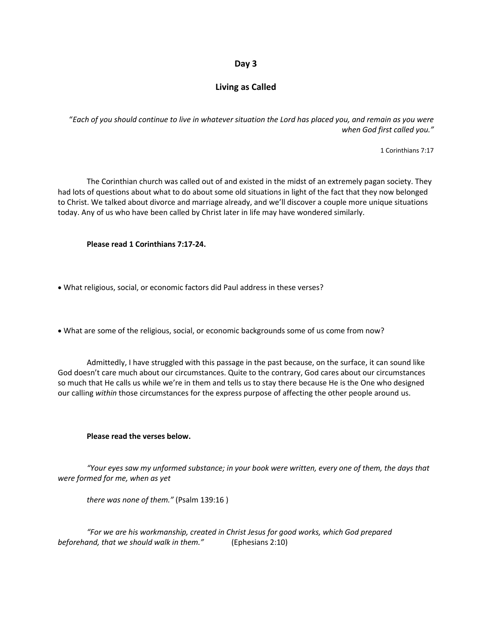# **Day 3**

# **Living as Called**

"*Each of you should continue to live in whatever situation the Lord has placed you, and remain as you were when God first called you."*

1 Corinthians 7:17

The Corinthian church was called out of and existed in the midst of an extremely pagan society. They had lots of questions about what to do about some old situations in light of the fact that they now belonged to Christ. We talked about divorce and marriage already, and we'll discover a couple more unique situations today. Any of us who have been called by Christ later in life may have wondered similarly.

**Please read 1 Corinthians 7:17-24.**

• What religious, social, or economic factors did Paul address in these verses?

• What are some of the religious, social, or economic backgrounds some of us come from now?

Admittedly, I have struggled with this passage in the past because, on the surface, it can sound like God doesn't care much about our circumstances. Quite to the contrary, God cares about our circumstances so much that He calls us while we're in them and tells us to stay there because He is the One who designed our calling *within* those circumstances for the express purpose of affecting the other people around us.

#### **Please read the verses below.**

*"Your eyes saw my unformed substance; in your book were written, every one of them, the days that were formed for me, when as yet*

*there was none of them."* (Psalm 139:16 )

*"For we are his workmanship, created in Christ Jesus for good works, which God prepared beforehand, that we should walk in them."* (Ephesians 2:10)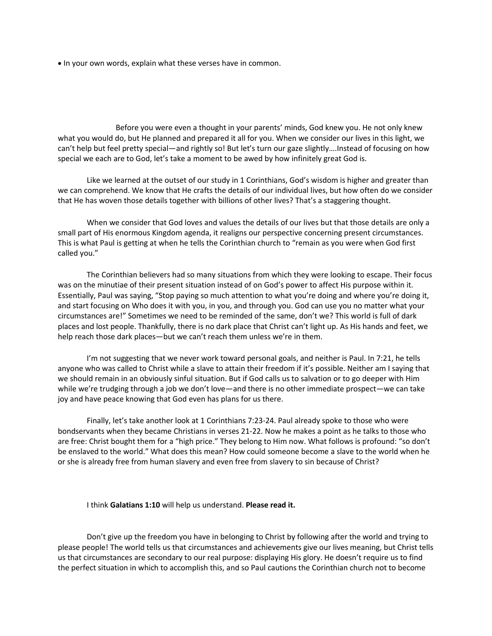• In your own words, explain what these verses have in common.

Before you were even a thought in your parents' minds, God knew you. He not only knew what you would do, but He planned and prepared it all for you. When we consider our lives in this light, we can't help but feel pretty special—and rightly so! But let's turn our gaze slightly….Instead of focusing on how special we each are to God, let's take a moment to be awed by how infinitely great God is.

Like we learned at the outset of our study in 1 Corinthians, God's wisdom is higher and greater than we can comprehend. We know that He crafts the details of our individual lives, but how often do we consider that He has woven those details together with billions of other lives? That's a staggering thought.

When we consider that God loves and values the details of our lives but that those details are only a small part of His enormous Kingdom agenda, it realigns our perspective concerning present circumstances. This is what Paul is getting at when he tells the Corinthian church to "remain as you were when God first called you."

The Corinthian believers had so many situations from which they were looking to escape. Their focus was on the minutiae of their present situation instead of on God's power to affect His purpose within it. Essentially, Paul was saying, "Stop paying so much attention to what you're doing and where you're doing it, and start focusing on Who does it with you, in you, and through you. God can use you no matter what your circumstances are!" Sometimes we need to be reminded of the same, don't we? This world is full of dark places and lost people. Thankfully, there is no dark place that Christ can't light up. As His hands and feet, we help reach those dark places—but we can't reach them unless we're in them.

I'm not suggesting that we never work toward personal goals, and neither is Paul. In 7:21, he tells anyone who was called to Christ while a slave to attain their freedom if it's possible. Neither am I saying that we should remain in an obviously sinful situation. But if God calls us to salvation or to go deeper with Him while we're trudging through a job we don't love—and there is no other immediate prospect—we can take joy and have peace knowing that God even has plans for us there.

Finally, let's take another look at 1 Corinthians 7:23-24. Paul already spoke to those who were bondservants when they became Christians in verses 21-22. Now he makes a point as he talks to those who are free: Christ bought them for a "high price." They belong to Him now. What follows is profound: "so don't be enslaved to the world." What does this mean? How could someone become a slave to the world when he or she is already free from human slavery and even free from slavery to sin because of Christ?

I think **Galatians 1:10** will help us understand. **Please read it.**

Don't give up the freedom you have in belonging to Christ by following after the world and trying to please people! The world tells us that circumstances and achievements give our lives meaning, but Christ tells us that circumstances are secondary to our real purpose: displaying His glory. He doesn't require us to find the perfect situation in which to accomplish this, and so Paul cautions the Corinthian church not to become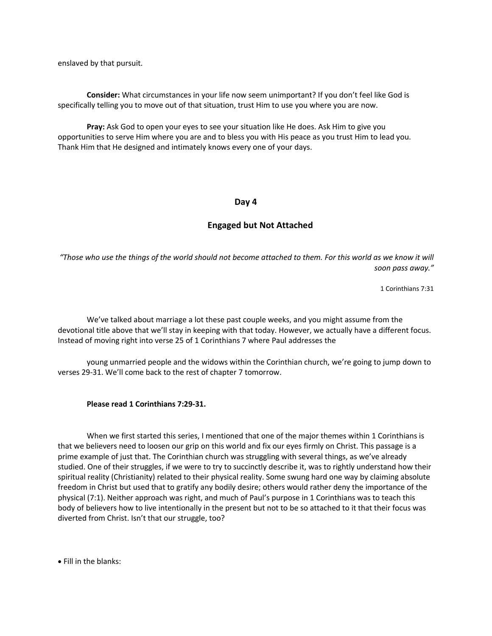enslaved by that pursuit.

**Consider:** What circumstances in your life now seem unimportant? If you don't feel like God is specifically telling you to move out of that situation, trust Him to use you where you are now.

**Pray:** Ask God to open your eyes to see your situation like He does. Ask Him to give you opportunities to serve Him where you are and to bless you with His peace as you trust Him to lead you. Thank Him that He designed and intimately knows every one of your days.

## **Day 4**

## **Engaged but Not Attached**

*"Those who use the things of the world should not become attached to them. For this world as we know it will soon pass away."*

1 Corinthians 7:31

We've talked about marriage a lot these past couple weeks, and you might assume from the devotional title above that we'll stay in keeping with that today. However, we actually have a different focus. Instead of moving right into verse 25 of 1 Corinthians 7 where Paul addresses the

young unmarried people and the widows within the Corinthian church, we're going to jump down to verses 29-31. We'll come back to the rest of chapter 7 tomorrow.

#### **Please read 1 Corinthians 7:29-31.**

When we first started this series, I mentioned that one of the major themes within 1 Corinthians is that we believers need to loosen our grip on this world and fix our eyes firmly on Christ. This passage is a prime example of just that. The Corinthian church was struggling with several things, as we've already studied. One of their struggles, if we were to try to succinctly describe it, was to rightly understand how their spiritual reality (Christianity) related to their physical reality. Some swung hard one way by claiming absolute freedom in Christ but used that to gratify any bodily desire; others would rather deny the importance of the physical (7:1). Neither approach was right, and much of Paul's purpose in 1 Corinthians was to teach this body of believers how to live intentionally in the present but not to be so attached to it that their focus was diverted from Christ. Isn't that our struggle, too?

• Fill in the blanks: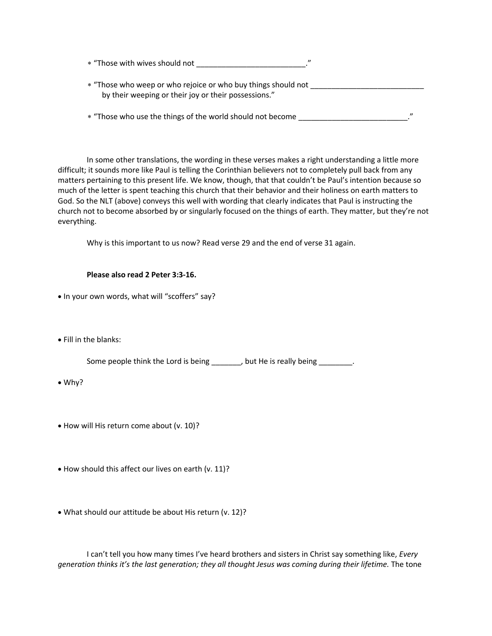| * "Those with wives should not |  |
|--------------------------------|--|
|                                |  |
|                                |  |

 "Those who weep or who rejoice or who buy things should not \_\_\_\_\_\_\_\_\_\_\_\_\_\_\_\_\_\_\_\_\_\_\_\_\_\_\_ by their weeping or their joy or their possessions."

\* "Those who use the things of the world should not become  $\blacksquare$ 

In some other translations, the wording in these verses makes a right understanding a little more difficult; it sounds more like Paul is telling the Corinthian believers not to completely pull back from any matters pertaining to this present life. We know, though, that that couldn't be Paul's intention because so much of the letter is spent teaching this church that their behavior and their holiness on earth matters to God. So the NLT (above) conveys this well with wording that clearly indicates that Paul is instructing the church not to become absorbed by or singularly focused on the things of earth. They matter, but they're not everything.

Why is this important to us now? Read verse 29 and the end of verse 31 again.

#### **Please also read 2 Peter 3:3-16.**

- In your own words, what will "scoffers" say?
- Fill in the blanks:

Some people think the Lord is being \_\_\_\_\_\_, but He is really being \_\_\_\_\_\_\_.

- Why?
- How will His return come about (v. 10)?
- How should this affect our lives on earth (v. 11)?
- What should our attitude be about His return (v. 12)?

I can't tell you how many times I've heard brothers and sisters in Christ say something like, *Every generation thinks it's the last generation; they all thought Jesus was coming during their lifetime.* The tone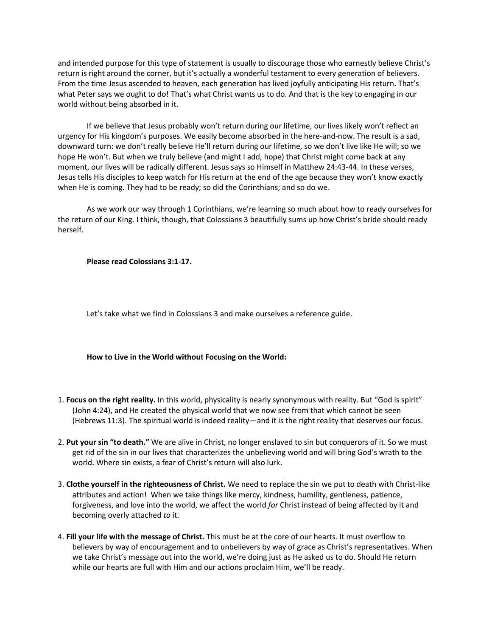and intended purpose for this type of statement is usually to discourage those who earnestly believe Christ's return is right around the corner, but it's actually a wonderful testament to every generation of believers. From the time Jesus ascended to heaven, each generation has lived joyfully anticipating His return. That's what Peter says we ought to do! That's what Christ wants us to do. And that is the key to engaging in our world without being absorbed in it.

If we believe that Jesus probably won't return during our lifetime, our lives likely won't reflect an urgency for His kingdom's purposes. We easily become absorbed in the here-and-now. The result is a sad, downward turn: we don't really believe He'll return during our lifetime, so we don't live like He will; so we hope He won't. But when we truly believe (and might I add, hope) that Christ might come back at any moment, our lives will be radically different. Jesus says so Himself in Matthew 24:43-44. In these verses, Jesus tells His disciples to keep watch for His return at the end of the age because they won't know exactly when He is coming. They had to be ready; so did the Corinthians; and so do we.

As we work our way through 1 Corinthians, we're learning so much about how to ready ourselves for the return of our King. I think, though, that Colossians 3 beautifully sums up how Christ's bride should ready herself.

**Please read Colossians 3:1-17.**

Let's take what we find in Colossians 3 and make ourselves a reference guide.

#### **How to Live in the World without Focusing on the World:**

- 1. **Focus on the right reality.** In this world, physicality is nearly synonymous with reality. But "God is spirit" (John 4:24), and He created the physical world that we now see from that which cannot be seen (Hebrews 11:3). The spiritual world is indeed reality—and it is the right reality that deserves our focus.
- 2. **Put your sin "to death."** We are alive in Christ, no longer enslaved to sin but conquerors of it. So we must get rid of the sin in our lives that characterizes the unbelieving world and will bring God's wrath to the world. Where sin exists, a fear of Christ's return will also lurk.
- 3. **Clothe yourself in the righteousness of Christ.** We need to replace the sin we put to death with Christ-like attributes and action! When we take things like mercy, kindness, humility, gentleness, patience, forgiveness, and love into the world, we affect the world *for* Christ instead of being affected by it and becoming overly attached *to* it.
- 4. **Fill your life with the message of Christ.** This must be at the core of our hearts. It must overflow to believers by way of encouragement and to unbelievers by way of grace as Christ's representatives. When we take Christ's message out into the world, we're doing just as He asked us to do. Should He return while our hearts are full with Him and our actions proclaim Him, we'll be ready.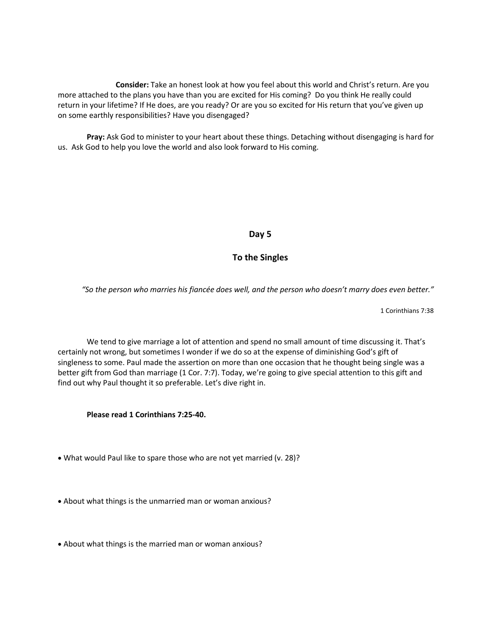**Consider:** Take an honest look at how you feel about this world and Christ's return. Are you more attached to the plans you have than you are excited for His coming? Do you think He really could return in your lifetime? If He does, are you ready? Or are you so excited for His return that you've given up on some earthly responsibilities? Have you disengaged?

**Pray:** Ask God to minister to your heart about these things. Detaching without disengaging is hard for us. Ask God to help you love the world and also look forward to His coming.

# **Day 5**

# **To the Singles**

*"So the person who marries his fiancée does well, and the person who doesn't marry does even better."*

1 Corinthians 7:38

We tend to give marriage a lot of attention and spend no small amount of time discussing it. That's certainly not wrong, but sometimes I wonder if we do so at the expense of diminishing God's gift of singleness to some. Paul made the assertion on more than one occasion that he thought being single was a better gift from God than marriage (1 Cor. 7:7). Today, we're going to give special attention to this gift and find out why Paul thought it so preferable. Let's dive right in.

**Please read 1 Corinthians 7:25-40.**

- What would Paul like to spare those who are not yet married (v. 28)?
- About what things is the unmarried man or woman anxious?
- About what things is the married man or woman anxious?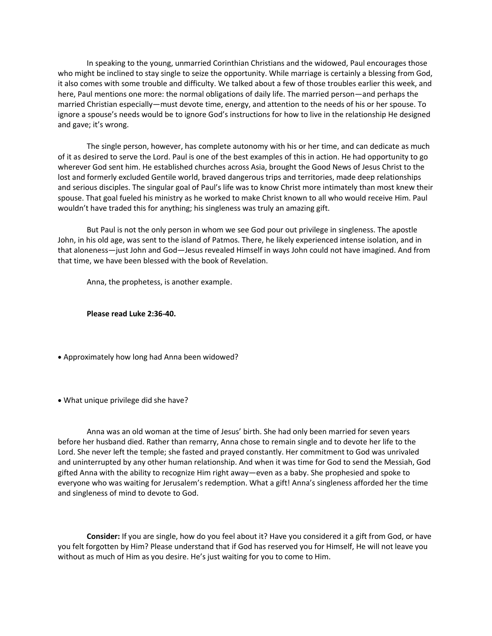In speaking to the young, unmarried Corinthian Christians and the widowed, Paul encourages those who might be inclined to stay single to seize the opportunity. While marriage is certainly a blessing from God, it also comes with some trouble and difficulty. We talked about a few of those troubles earlier this week, and here, Paul mentions one more: the normal obligations of daily life. The married person—and perhaps the married Christian especially—must devote time, energy, and attention to the needs of his or her spouse. To ignore a spouse's needs would be to ignore God's instructions for how to live in the relationship He designed and gave; it's wrong.

The single person, however, has complete autonomy with his or her time, and can dedicate as much of it as desired to serve the Lord. Paul is one of the best examples of this in action. He had opportunity to go wherever God sent him. He established churches across Asia, brought the Good News of Jesus Christ to the lost and formerly excluded Gentile world, braved dangerous trips and territories, made deep relationships and serious disciples. The singular goal of Paul's life was to know Christ more intimately than most knew their spouse. That goal fueled his ministry as he worked to make Christ known to all who would receive Him. Paul wouldn't have traded this for anything; his singleness was truly an amazing gift.

But Paul is not the only person in whom we see God pour out privilege in singleness. The apostle John, in his old age, was sent to the island of Patmos. There, he likely experienced intense isolation, and in that aloneness—just John and God—Jesus revealed Himself in ways John could not have imagined. And from that time, we have been blessed with the book of Revelation.

Anna, the prophetess, is another example.

**Please read Luke 2:36-40.**

- Approximately how long had Anna been widowed?
- What unique privilege did she have?

Anna was an old woman at the time of Jesus' birth. She had only been married for seven years before her husband died. Rather than remarry, Anna chose to remain single and to devote her life to the Lord. She never left the temple; she fasted and prayed constantly. Her commitment to God was unrivaled and uninterrupted by any other human relationship. And when it was time for God to send the Messiah, God gifted Anna with the ability to recognize Him right away—even as a baby. She prophesied and spoke to everyone who was waiting for Jerusalem's redemption. What a gift! Anna's singleness afforded her the time and singleness of mind to devote to God.

**Consider:** If you are single, how do you feel about it? Have you considered it a gift from God, or have you felt forgotten by Him? Please understand that if God has reserved you for Himself, He will not leave you without as much of Him as you desire. He's just waiting for you to come to Him.